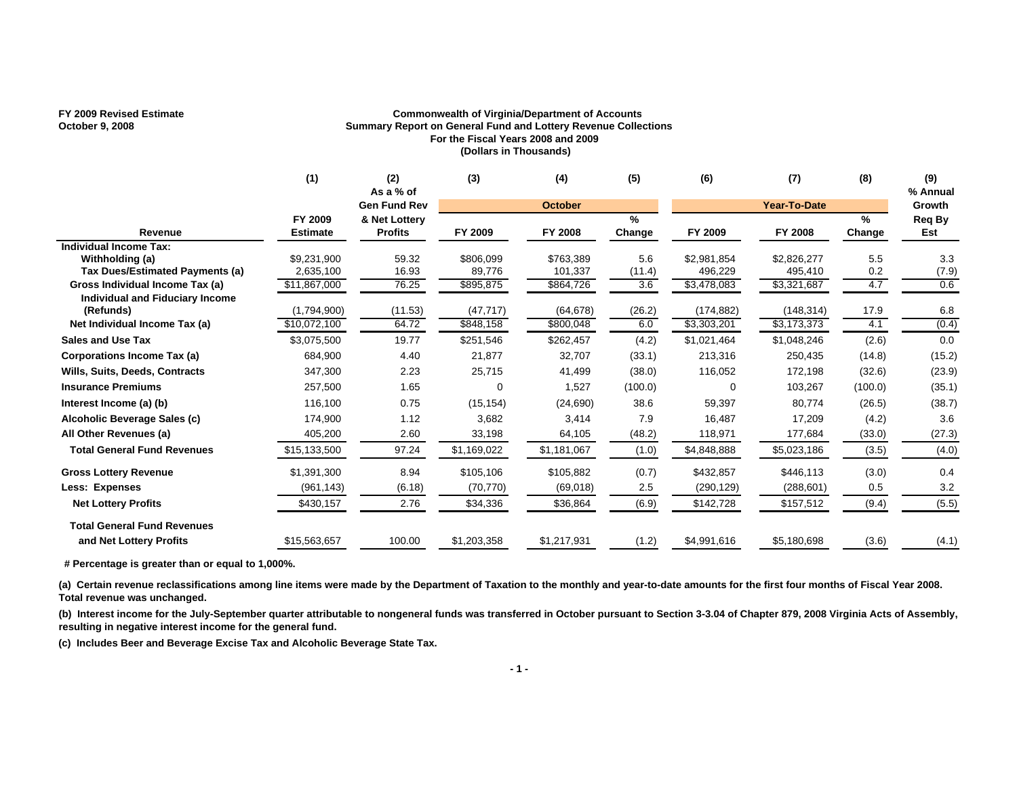## **FY 2009 Revised Estimate Commonwealth of Virginia/Department of Accounts October 9, 2008 Summary Report on General Fund and Lottery Revenue Collections For the Fiscal Years 2008 and 2009 (Dollars in Thousands)**

|                                                     | (1)                        | (2)<br>As a % of                | (3)         | (4)            | (5)         | (6)         | (7)                 | (8)                     | (9)<br>% Annual |
|-----------------------------------------------------|----------------------------|---------------------------------|-------------|----------------|-------------|-------------|---------------------|-------------------------|-----------------|
|                                                     |                            | <b>Gen Fund Rev</b>             |             | <b>October</b> |             |             | <b>Year-To-Date</b> |                         | Growth          |
| Revenue                                             | FY 2009<br><b>Estimate</b> | & Net Lottery<br><b>Profits</b> | FY 2009     | FY 2008        | %<br>Change | FY 2009     | FY 2008             | $\frac{9}{6}$<br>Change | Req By<br>Est   |
| <b>Individual Income Tax:</b>                       |                            |                                 |             |                |             |             |                     |                         |                 |
| Withholding (a)                                     | \$9,231,900                | 59.32                           | \$806,099   | \$763,389      | 5.6         | \$2,981,854 | \$2,826,277         | 5.5                     | 3.3             |
| Tax Dues/Estimated Payments (a)                     | 2,635,100                  | 16.93                           | 89,776      | 101,337        | (11.4)      | 496,229     | 495,410             | 0.2                     | (7.9)           |
| Gross Individual Income Tax (a)                     | \$11,867,000               | 76.25                           | \$895,875   | \$864,726      | 3.6         | \$3,478,083 | \$3,321,687         | 4.7                     | 0.6             |
| <b>Individual and Fiduciary Income</b><br>(Refunds) | (1,794,900)                | (11.53)                         | (47, 717)   | (64, 678)      | (26.2)      | (174, 882)  | (148, 314)          | 17.9                    | 6.8             |
| Net Individual Income Tax (a)                       | \$10,072,100               | 64.72                           | \$848,158   | \$800,048      | 6.0         | \$3,303,201 | \$3,173,373         | 4.1                     | (0.4)           |
| <b>Sales and Use Tax</b>                            | \$3,075,500                | 19.77                           | \$251,546   | \$262,457      | (4.2)       | \$1,021,464 | \$1,048,246         | (2.6)                   | 0.0             |
| Corporations Income Tax (a)                         | 684,900                    | 4.40                            | 21,877      | 32,707         | (33.1)      | 213,316     | 250,435             | (14.8)                  | (15.2)          |
| <b>Wills, Suits, Deeds, Contracts</b>               | 347,300                    | 2.23                            | 25,715      | 41,499         | (38.0)      | 116,052     | 172,198             | (32.6)                  | (23.9)          |
| <b>Insurance Premiums</b>                           | 257,500                    | 1.65                            | $\Omega$    | 1,527          | (100.0)     | $\Omega$    | 103,267             | (100.0)                 | (35.1)          |
| Interest Income (a) (b)                             | 116,100                    | 0.75                            | (15, 154)   | (24, 690)      | 38.6        | 59,397      | 80,774              | (26.5)                  | (38.7)          |
| Alcoholic Beverage Sales (c)                        | 174,900                    | 1.12                            | 3,682       | 3,414          | 7.9         | 16,487      | 17,209              | (4.2)                   | 3.6             |
| All Other Revenues (a)                              | 405,200                    | 2.60                            | 33,198      | 64,105         | (48.2)      | 118,971     | 177,684             | (33.0)                  | (27.3)          |
| <b>Total General Fund Revenues</b>                  | \$15,133,500               | 97.24                           | \$1,169,022 | \$1,181,067    | (1.0)       | \$4,848,888 | \$5,023,186         | (3.5)                   | (4.0)           |
| <b>Gross Lottery Revenue</b>                        | \$1,391,300                | 8.94                            | \$105,106   | \$105,882      | (0.7)       | \$432,857   | \$446,113           | (3.0)                   | 0.4             |
| <b>Less: Expenses</b>                               | (961, 143)                 | (6.18)                          | (70, 770)   | (69,018)       | 2.5         | (290, 129)  | (288, 601)          | 0.5                     | 3.2             |
| <b>Net Lottery Profits</b>                          | \$430,157                  | 2.76                            | \$34,336    | \$36,864       | (6.9)       | \$142,728   | \$157,512           | (9.4)                   | (5.5)           |
| <b>Total General Fund Revenues</b>                  |                            |                                 |             |                |             |             |                     |                         |                 |
| and Net Lottery Profits                             | \$15,563,657               | 100.00                          | \$1,203,358 | \$1,217,931    | (1.2)       | \$4,991,616 | \$5,180,698         | (3.6)                   | (4.1)           |

 **# Percentage is greater than or equal to 1,000%.**

(a) Certain revenue reclassifications among line items were made by the Department of Taxation to the monthly and year-to-date amounts for the first four months of Fiscal Year 2008. **Total revenue was unchanged.**

**(b) Interest income for the July-September quarter attributable to nongeneral funds was transferred in October pursuant to Section 3-3.04 of Chapter 879, 2008 Virginia Acts of Assembly, resulting in negative interest income for the general fund.**

**(c) Includes Beer and Beverage Excise Tax and Alcoholic Beverage State Tax.**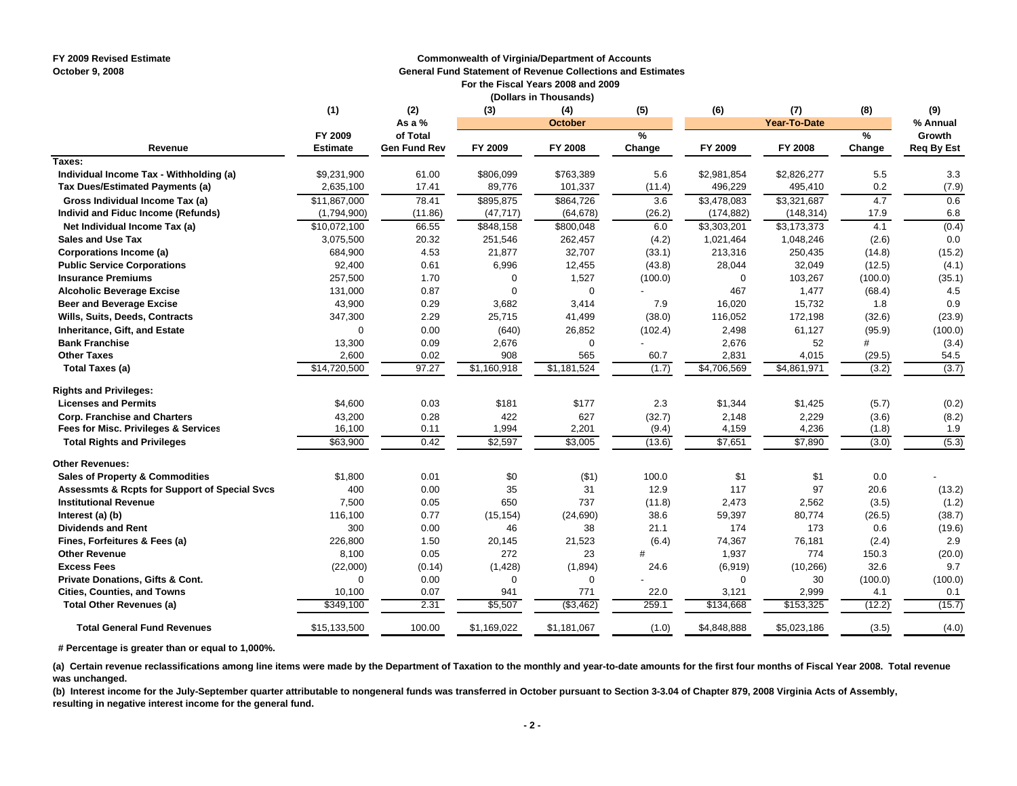#### **FY 2009 Revised Estimate Commonwealth of Virginia/Department of Accounts**

**October 9, 2008 General Fund Statement of Revenue Collections and Estimates**

 **For the Fiscal Years 2008 and 2009 (Dollars in Thousands)**

|                                               | (1)                        | (2)                             | (3)         | (4)            | (5)         | (6)         | (7)          | (8)         | (9)                         |
|-----------------------------------------------|----------------------------|---------------------------------|-------------|----------------|-------------|-------------|--------------|-------------|-----------------------------|
|                                               |                            | As a %                          |             | <b>October</b> |             |             | Year-To-Date |             | % Annual                    |
| Revenue                                       | FY 2009<br><b>Estimate</b> | of Total<br><b>Gen Fund Rev</b> | FY 2009     | FY 2008        | %<br>Change | FY 2009     | FY 2008      | %<br>Change | Growth<br><b>Req By Est</b> |
| Taxes:                                        |                            |                                 |             |                |             |             |              |             |                             |
| Individual Income Tax - Withholding (a)       | \$9,231,900                | 61.00                           | \$806,099   | \$763,389      | 5.6         | \$2,981,854 | \$2,826,277  | 5.5         | 3.3                         |
| Tax Dues/Estimated Payments (a)               | 2,635,100                  | 17.41                           | 89,776      | 101,337        | (11.4)      | 496,229     | 495,410      | 0.2         | (7.9)                       |
| Gross Individual Income Tax (a)               | \$11,867,000               | 78.41                           | \$895,875   | \$864,726      | 3.6         | \$3,478,083 | \$3,321,687  | 4.7         | 0.6                         |
| Individ and Fiduc Income (Refunds)            | (1,794,900)                | (11.86)                         | (47, 717)   | (64, 678)      | (26.2)      | (174, 882)  | (148, 314)   | 17.9        | 6.8                         |
| Net Individual Income Tax (a)                 | \$10,072,100               | 66.55                           | \$848,158   | \$800,048      | 6.0         | \$3,303,201 | \$3,173,373  | 4.1         | (0.4)                       |
| <b>Sales and Use Tax</b>                      | 3,075,500                  | 20.32                           | 251,546     | 262,457        | (4.2)       | 1,021,464   | 1,048,246    | (2.6)       | 0.0                         |
| Corporations Income (a)                       | 684,900                    | 4.53                            | 21,877      | 32,707         | (33.1)      | 213,316     | 250,435      | (14.8)      | (15.2)                      |
| <b>Public Service Corporations</b>            | 92,400                     | 0.61                            | 6,996       | 12,455         | (43.8)      | 28,044      | 32,049       | (12.5)      | (4.1)                       |
| <b>Insurance Premiums</b>                     | 257,500                    | 1.70                            | $\Omega$    | 1,527          | (100.0)     | $\mathbf 0$ | 103,267      | (100.0)     | (35.1)                      |
| <b>Alcoholic Beverage Excise</b>              | 131,000                    | 0.87                            | $\Omega$    | $\mathbf 0$    |             | 467         | 1,477        | (68.4)      | 4.5                         |
| <b>Beer and Beverage Excise</b>               | 43,900                     | 0.29                            | 3,682       | 3,414          | 7.9         | 16,020      | 15,732       | 1.8         | 0.9                         |
| Wills, Suits, Deeds, Contracts                | 347,300                    | 2.29                            | 25,715      | 41,499         | (38.0)      | 116,052     | 172,198      | (32.6)      | (23.9)                      |
| <b>Inheritance, Gift, and Estate</b>          | 0                          | 0.00                            | (640)       | 26,852         | (102.4)     | 2,498       | 61,127       | (95.9)      | (100.0)                     |
| <b>Bank Franchise</b>                         | 13,300                     | 0.09                            | 2,676       | 0              |             | 2,676       | 52           | #           | (3.4)                       |
| <b>Other Taxes</b>                            | 2,600                      | 0.02                            | 908         | 565            | 60.7        | 2,831       | 4,015        | (29.5)      | 54.5                        |
| <b>Total Taxes (a)</b>                        | \$14,720,500               | 97.27                           | \$1,160,918 | \$1,181,524    | (1.7)       | \$4,706,569 | \$4,861,971  | (3.2)       | (3.7)                       |
| <b>Rights and Privileges:</b>                 |                            |                                 |             |                |             |             |              |             |                             |
| <b>Licenses and Permits</b>                   | \$4,600                    | 0.03                            | \$181       | \$177          | 2.3         | \$1,344     | \$1,425      | (5.7)       | (0.2)                       |
| <b>Corp. Franchise and Charters</b>           | 43,200                     | 0.28                            | 422         | 627            | (32.7)      | 2,148       | 2,229        | (3.6)       | (8.2)                       |
| Fees for Misc. Privileges & Services          | 16,100                     | 0.11                            | 1,994       | 2,201          | (9.4)       | 4,159       | 4,236        | (1.8)       | 1.9                         |
| <b>Total Rights and Privileges</b>            | \$63,900                   | 0.42                            | \$2,597     | \$3,005        | (13.6)      | \$7,651     | \$7,890      | (3.0)       | (5.3)                       |
| <b>Other Revenues:</b>                        |                            |                                 |             |                |             |             |              |             |                             |
| <b>Sales of Property &amp; Commodities</b>    | \$1,800                    | 0.01                            | \$0         | ( \$1)         | 100.0       | \$1         | \$1          | 0.0         |                             |
| Assessmts & Rcpts for Support of Special Svcs | 400                        | 0.00                            | 35          | 31             | 12.9        | 117         | 97           | 20.6        | (13.2)                      |
| <b>Institutional Revenue</b>                  | 7,500                      | 0.05                            | 650         | 737            | (11.8)      | 2,473       | 2,562        | (3.5)       | (1.2)                       |
| Interest (a) (b)                              | 116,100                    | 0.77                            | (15, 154)   | (24, 690)      | 38.6        | 59,397      | 80,774       | (26.5)      | (38.7)                      |
| <b>Dividends and Rent</b>                     | 300                        | 0.00                            | 46          | 38             | 21.1        | 174         | 173          | 0.6         | (19.6)                      |
| Fines, Forfeitures & Fees (a)                 | 226,800                    | 1.50                            | 20,145      | 21,523         | (6.4)       | 74,367      | 76,181       | (2.4)       | 2.9                         |
| <b>Other Revenue</b>                          | 8,100                      | 0.05                            | 272         | 23             | #           | 1,937       | 774          | 150.3       | (20.0)                      |
| <b>Excess Fees</b>                            | (22,000)                   | (0.14)                          | (1, 428)    | (1,894)        | 24.6        | (6,919)     | (10, 266)    | 32.6        | 9.7                         |
| Private Donations, Gifts & Cont.              | $\mathbf 0$                | 0.00                            | $\Omega$    | $\Omega$       |             | $\Omega$    | 30           | (100.0)     | (100.0)                     |
| <b>Cities, Counties, and Towns</b>            | 10,100                     | 0.07                            | 941         | 771            | 22.0        | 3,121       | 2,999        | 4.1         | 0.1                         |
| <b>Total Other Revenues (a)</b>               | \$349,100                  | 2.31                            | \$5,507     | ( \$3,462)     | 259.1       | \$134,668   | \$153,325    | (12.2)      | (15.7)                      |
| <b>Total General Fund Revenues</b>            | \$15,133,500               | 100.00                          | \$1,169,022 | \$1,181,067    | (1.0)       | \$4,848,888 | \$5,023,186  | (3.5)       | (4.0)                       |

 **# Percentage is greater than or equal to 1,000%.**

**(a) Certain revenue reclassifications among line items were made by the Department of Taxation to the monthly and year-to-date amounts for the first four months of Fiscal Year 2008. Total revenue was unchanged.**

**(b) Interest income for the July-September quarter attributable to nongeneral funds was transferred in October pursuant to Section 3-3.04 of Chapter 879, 2008 Virginia Acts of Assembly, resulting in negative interest income for the general fund.**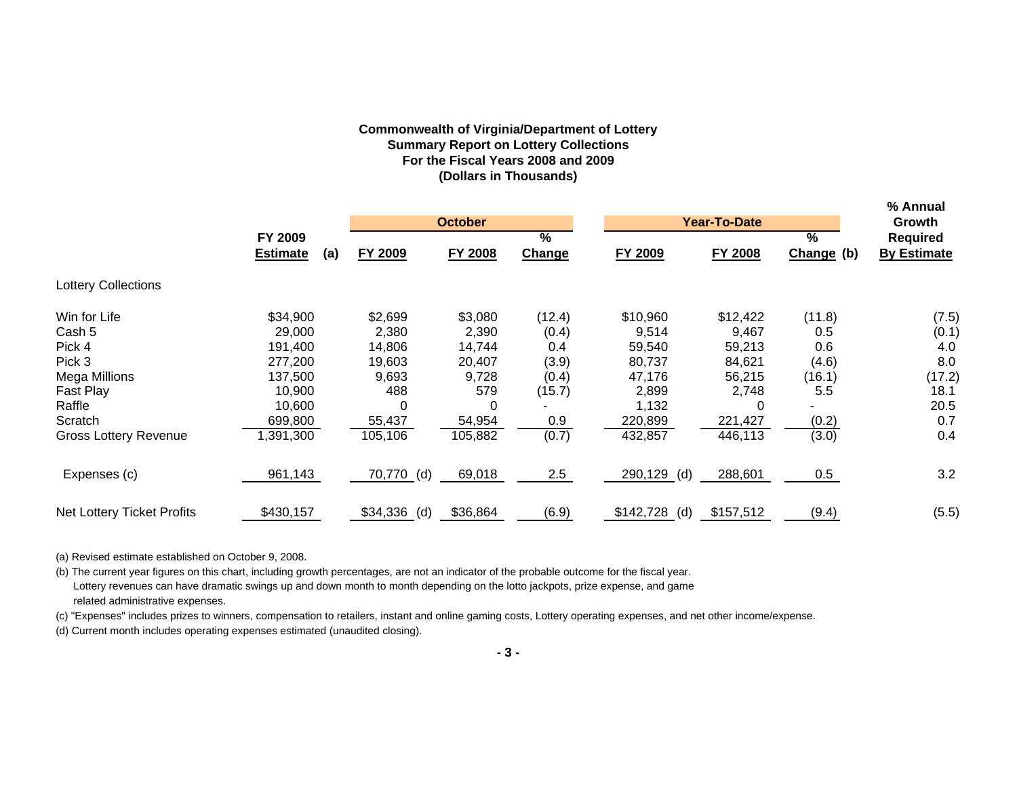# **Commonwealth of Virginia/Department of Lottery Summary Report on Lottery Collections For the Fiscal Years 2008 and 2009 (Dollars in Thousands)**

|                              |                        |                 |                |                 |                  |                |               | % Annual           |
|------------------------------|------------------------|-----------------|----------------|-----------------|------------------|----------------|---------------|--------------------|
|                              |                        |                 | <b>October</b> |                 |                  | Year-To-Date   |               | Growth             |
|                              | FY 2009                |                 |                | $\overline{\%}$ |                  |                | $\frac{9}{6}$ | <b>Required</b>    |
|                              | <b>Estimate</b><br>(a) | FY 2009         | <b>FY 2008</b> | Change          | <b>FY 2009</b>   | <b>FY 2008</b> | Change (b)    | <b>By Estimate</b> |
| <b>Lottery Collections</b>   |                        |                 |                |                 |                  |                |               |                    |
| Win for Life                 | \$34,900               | \$2,699         | \$3,080        | (12.4)          | \$10,960         | \$12,422       | (11.8)        | (7.5)              |
| Cash 5                       | 29,000                 | 2,380           | 2,390          | (0.4)           | 9,514            | 9,467          | 0.5           | (0.1)              |
| Pick 4                       | 191,400                | 14,806          | 14,744         | 0.4             | 59,540           | 59,213         | 0.6           | 4.0                |
| Pick 3                       | 277,200                | 19,603          | 20,407         | (3.9)           | 80,737           | 84,621         | (4.6)         | 8.0                |
| Mega Millions                | 137,500                | 9,693           | 9,728          | (0.4)           | 47,176           | 56,215         | (16.1)        | (17.2)             |
| Fast Play                    | 10,900                 | 488             | 579            | (15.7)          | 2,899            | 2,748          | 5.5           | 18.1               |
| Raffle                       | 10,600                 | 0               | 0              |                 | 1,132            | 0              |               | 20.5               |
| Scratch                      | 699,800                | 55,437          | 54,954         | 0.9             | 220,899          | 221,427        | (0.2)         | 0.7                |
| <b>Gross Lottery Revenue</b> | ,391,300               | 105, 106        | 105,882        | (0.7)           | 432,857          | 446,113        | (3.0)         | 0.4                |
| Expenses (c)                 | 961,143                | 70,770 (d)      | 69,018         | 2.5             | 290,129<br>(d)   | 288,601        | 0.5           | 3.2                |
| Net Lottery Ticket Profits   | \$430,157              | \$34,336<br>(d) | \$36,864       | (6.9)           | \$142,728<br>(d) | \$157,512      | (9.4)         | (5.5)              |

(a) Revised estimate established on October 9, 2008.

(b) The current year figures on this chart, including growth percentages, are not an indicator of the probable outcome for the fiscal year. Lottery revenues can have dramatic swings up and down month to month depending on the lotto jackpots, prize expense, and game related administrative expenses.

(c) "Expenses" includes prizes to winners, compensation to retailers, instant and online gaming costs, Lottery operating expenses, and net other income/expense.

(d) Current month includes operating expenses estimated (unaudited closing).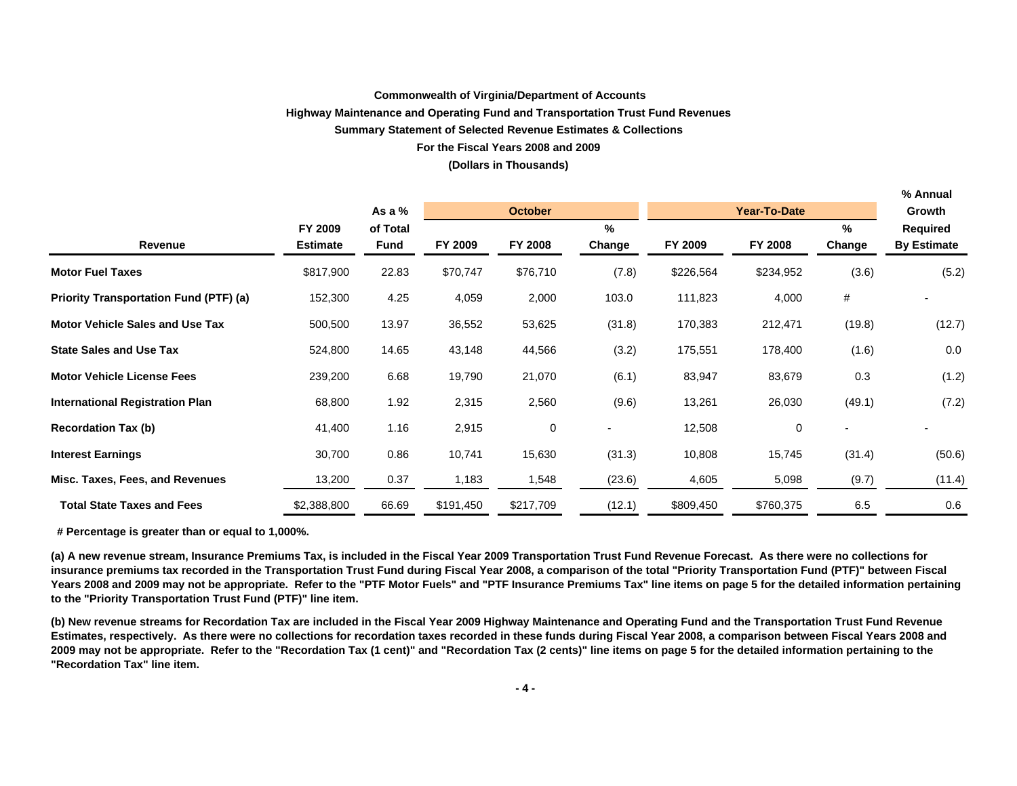### **Commonwealth of Virginia/Department of Accounts**

#### **Highway Maintenance and Operating Fund and Transportation Trust Fund Revenues**

### **Summary Statement of Selected Revenue Estimates & Collections**

### **For the Fiscal Years 2008 and 2009**

#### **(Dollars in Thousands)**

|                                               |                 |          |           |                |               |           |                     |        | % Annual           |
|-----------------------------------------------|-----------------|----------|-----------|----------------|---------------|-----------|---------------------|--------|--------------------|
|                                               |                 | As a $%$ |           | <b>October</b> |               |           | <b>Year-To-Date</b> |        | Growth             |
|                                               | FY 2009         | of Total |           |                | $\frac{9}{6}$ |           |                     | $\%$   | <b>Required</b>    |
| Revenue                                       | <b>Estimate</b> | Fund     | FY 2009   | FY 2008        | Change        | FY 2009   | FY 2008             | Change | <b>By Estimate</b> |
| <b>Motor Fuel Taxes</b>                       | \$817,900       | 22.83    | \$70,747  | \$76,710       | (7.8)         | \$226,564 | \$234,952           | (3.6)  | (5.2)              |
| <b>Priority Transportation Fund (PTF) (a)</b> | 152,300         | 4.25     | 4,059     | 2,000          | 103.0         | 111,823   | 4,000               | #      |                    |
| <b>Motor Vehicle Sales and Use Tax</b>        | 500,500         | 13.97    | 36,552    | 53,625         | (31.8)        | 170,383   | 212,471             | (19.8) | (12.7)             |
| <b>State Sales and Use Tax</b>                | 524,800         | 14.65    | 43,148    | 44,566         | (3.2)         | 175,551   | 178,400             | (1.6)  | 0.0                |
| <b>Motor Vehicle License Fees</b>             | 239,200         | 6.68     | 19,790    | 21,070         | (6.1)         | 83,947    | 83,679              | 0.3    | (1.2)              |
| <b>International Registration Plan</b>        | 68,800          | 1.92     | 2,315     | 2,560          | (9.6)         | 13,261    | 26,030              | (49.1) | (7.2)              |
| <b>Recordation Tax (b)</b>                    | 41,400          | 1.16     | 2,915     | 0              |               | 12,508    | 0                   |        |                    |
| <b>Interest Earnings</b>                      | 30,700          | 0.86     | 10,741    | 15,630         | (31.3)        | 10,808    | 15,745              | (31.4) | (50.6)             |
| Misc. Taxes, Fees, and Revenues               | 13,200          | 0.37     | 1,183     | 1,548          | (23.6)        | 4,605     | 5,098               | (9.7)  | (11.4)             |
| <b>Total State Taxes and Fees</b>             | \$2,388,800     | 66.69    | \$191,450 | \$217,709      | (12.1)        | \$809,450 | \$760,375           | 6.5    | 0.6                |

 **# Percentage is greater than or equal to 1,000%.**

**(a) A new revenue stream, Insurance Premiums Tax, is included in the Fiscal Year 2009 Transportation Trust Fund Revenue Forecast. As there were no collections for insurance premiums tax recorded in the Transportation Trust Fund during Fiscal Year 2008, a comparison of the total "Priority Transportation Fund (PTF)" between Fiscal Years 2008 and 2009 may not be appropriate. Refer to the "PTF Motor Fuels" and "PTF Insurance Premiums Tax" line items on page 5 for the detailed information pertaining to the "Priority Transportation Trust Fund (PTF)" line item.**

**(b) New revenue streams for Recordation Tax are included in the Fiscal Year 2009 Highway Maintenance and Operating Fund and the Transportation Trust Fund Revenue Estimates, respectively. As there were no collections for recordation taxes recorded in these funds during Fiscal Year 2008, a comparison between Fiscal Years 2008 and 2009 may not be appropriate. Refer to the "Recordation Tax (1 cent)" and "Recordation Tax (2 cents)" line items on page 5 for the detailed information pertaining to the "Recordation Tax" line item.**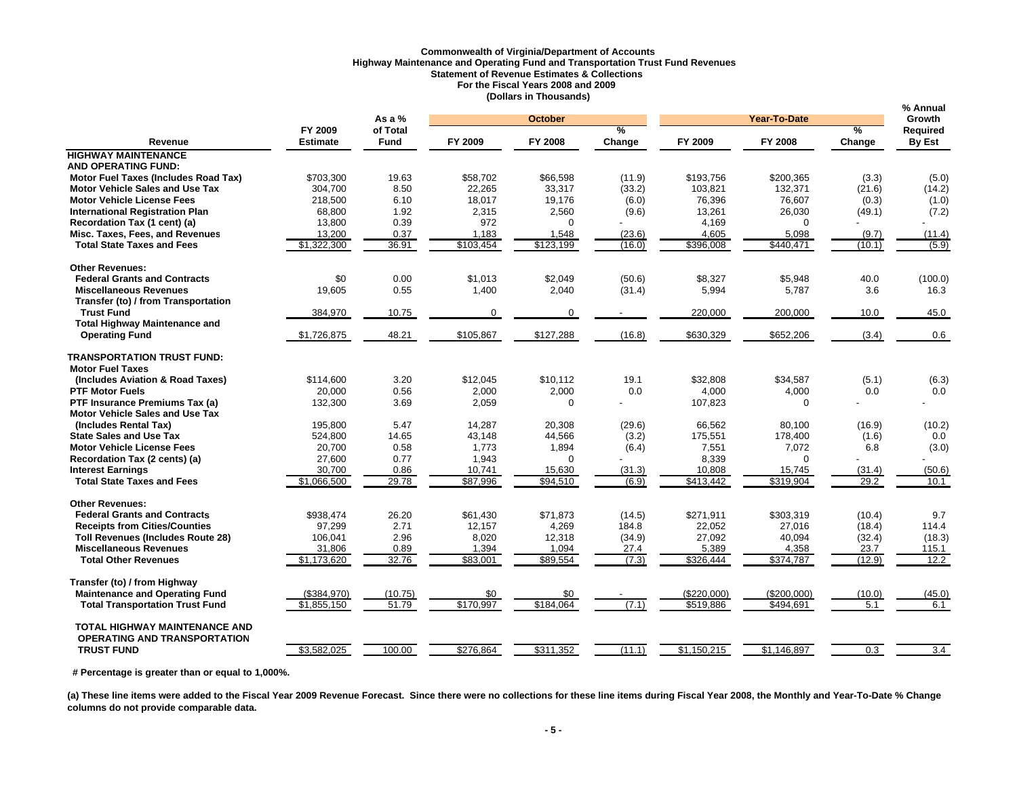# **Commonwealth of Virginia/Department of Accounts Highway Maintenance and Operating Fund and Transportation Trust Fund Revenues Statement of Revenue Estimates & Collections For the Fiscal Years 2008 and 2009 (Dollars in Thousands)**

|                                             |                 | As a $%$    |             | <b>October</b> |        |             | Year-To-Date |               | % Annual<br><b>Growth</b> |
|---------------------------------------------|-----------------|-------------|-------------|----------------|--------|-------------|--------------|---------------|---------------------------|
|                                             | FY 2009         | of Total    |             |                | ℅      |             |              | $\frac{9}{6}$ | Required                  |
| Revenue                                     | <b>Estimate</b> | <b>Fund</b> | FY 2009     | <b>FY 2008</b> | Change | FY 2009     | FY 2008      | Change        | By Est                    |
| <b>HIGHWAY MAINTENANCE</b>                  |                 |             |             |                |        |             |              |               |                           |
| <b>AND OPERATING FUND:</b>                  |                 |             |             |                |        |             |              |               |                           |
| <b>Motor Fuel Taxes (Includes Road Tax)</b> | \$703,300       | 19.63       | \$58,702    | \$66,598       | (11.9) | \$193,756   | \$200,365    | (3.3)         | (5.0)                     |
| <b>Motor Vehicle Sales and Use Tax</b>      | 304,700         | 8.50        | 22,265      | 33,317         | (33.2) | 103,821     | 132,371      | (21.6)        | (14.2)                    |
| <b>Motor Vehicle License Fees</b>           | 218,500         | 6.10        | 18,017      | 19,176         | (6.0)  | 76,396      | 76,607       | (0.3)         | (1.0)                     |
| <b>International Registration Plan</b>      | 68,800          | 1.92        | 2,315       | 2,560          | (9.6)  | 13,261      | 26,030       | (49.1)        | (7.2)                     |
| Recordation Tax (1 cent) (a)                | 13,800          | 0.39        | 972         | $\Omega$       |        | 4,169       | $\Omega$     |               |                           |
| Misc. Taxes, Fees, and Revenues             | 13,200          | 0.37        | 1,183       | 1,548          | (23.6) | 4,605       | 5,098        | (9.7)         | (11.4)                    |
| <b>Total State Taxes and Fees</b>           | \$1,322,300     | 36.91       | \$103,454   | \$123,199      | (16.0) | \$396,008   | \$440,471    | (10.1)        | (5.9)                     |
| <b>Other Revenues:</b>                      |                 |             |             |                |        |             |              |               |                           |
| <b>Federal Grants and Contracts</b>         | \$0             | 0.00        | \$1.013     | \$2.049        | (50.6) | \$8.327     | \$5.948      | 40.0          | (100.0)                   |
| <b>Miscellaneous Revenues</b>               | 19,605          | 0.55        | 1,400       | 2,040          | (31.4) | 5,994       | 5,787        | 3.6           | 16.3                      |
| Transfer (to) / from Transportation         |                 |             |             |                |        |             |              |               |                           |
| <b>Trust Fund</b>                           | 384,970         | 10.75       | $\mathbf 0$ | $\Omega$       |        | 220,000     | 200,000      | 10.0          | 45.0                      |
| <b>Total Highway Maintenance and</b>        |                 |             |             |                |        |             |              |               |                           |
| <b>Operating Fund</b>                       | \$1,726,875     | 48.21       | \$105,867   | \$127,288      | (16.8) | \$630,329   | \$652,206    | (3.4)         | 0.6                       |
| <b>TRANSPORTATION TRUST FUND:</b>           |                 |             |             |                |        |             |              |               |                           |
| <b>Motor Fuel Taxes</b>                     |                 |             |             |                |        |             |              |               |                           |
| (Includes Aviation & Road Taxes)            | \$114.600       | 3.20        | \$12,045    | \$10.112       | 19.1   | \$32,808    | \$34,587     | (5.1)         | (6.3)                     |
| <b>PTF Motor Fuels</b>                      | 20,000          | 0.56        | 2,000       | 2,000          | 0.0    | 4,000       | 4,000        | 0.0           | 0.0                       |
| PTF Insurance Premiums Tax (a)              | 132,300         | 3.69        | 2,059       | $\mathbf 0$    |        | 107,823     | $\Omega$     |               |                           |
| <b>Motor Vehicle Sales and Use Tax</b>      |                 |             |             |                |        |             |              |               |                           |
| (Includes Rental Tax)                       | 195,800         | 5.47        | 14,287      | 20,308         | (29.6) | 66,562      | 80,100       | (16.9)        | (10.2)                    |
| <b>State Sales and Use Tax</b>              | 524,800         | 14.65       | 43,148      | 44,566         | (3.2)  | 175,551     | 178,400      | (1.6)         | 0.0                       |
| <b>Motor Vehicle License Fees</b>           | 20,700          | 0.58        | 1,773       | 1,894          | (6.4)  | 7,551       | 7,072        | 6.8           | (3.0)                     |
| Recordation Tax (2 cents) (a)               | 27,600          | 0.77        | 1,943       | $\Omega$       |        | 8,339       | $\Omega$     |               |                           |
| <b>Interest Earnings</b>                    | 30,700          | 0.86        | 10,741      | 15,630         | (31.3) | 10,808      | 15,745       | (31.4)        | (50.6)                    |
| <b>Total State Taxes and Fees</b>           | \$1,066,500     | 29.78       | \$87,996    | \$94,510       | (6.9)  | \$413,442   | \$319,904    | 29.2          | $\overline{10.1}$         |
| <b>Other Revenues:</b>                      |                 |             |             |                |        |             |              |               |                           |
| <b>Federal Grants and Contracts</b>         | \$938,474       | 26.20       | \$61,430    | \$71,873       | (14.5) | \$271,911   | \$303,319    | (10.4)        | 9.7                       |
| <b>Receipts from Cities/Counties</b>        | 97,299          | 2.71        | 12,157      | 4,269          | 184.8  | 22,052      | 27,016       | (18.4)        | 114.4                     |
| <b>Toll Revenues (Includes Route 28)</b>    | 106,041         | 2.96        | 8,020       | 12,318         | (34.9) | 27,092      | 40,094       | (32.4)        | (18.3)                    |
| <b>Miscellaneous Revenues</b>               | 31,806          | 0.89        | 1,394       | 1,094          | 27.4   | 5,389       | 4,358        | 23.7          | 115.1                     |
| <b>Total Other Revenues</b>                 | \$1,173,620     | 32.76       | \$83,001    | \$89,554       | (7.3)  | \$326,444   | \$374,787    | (12.9)        | 12.2                      |
| Transfer (to) / from Highway                |                 |             |             |                |        |             |              |               |                           |
| <b>Maintenance and Operating Fund</b>       | (\$384,970)     | (10.75)     | \$0         | \$0            |        | (\$220,000) | (\$200,000)  | (10.0)        | (45.0)                    |
| <b>Total Transportation Trust Fund</b>      | \$1,855,150     | 51.79       | \$170,997   | \$184,064      | (7.1)  | \$519,886   | \$494,691    | 5.1           | 6.1                       |
| <b>TOTAL HIGHWAY MAINTENANCE AND</b>        |                 |             |             |                |        |             |              |               |                           |
| <b>OPERATING AND TRANSPORTATION</b>         |                 |             |             |                |        |             |              |               |                           |
| <b>TRUST FUND</b>                           | \$3,582,025     | 100.00      | \$276,864   | \$311,352      | (11.1) | \$1,150,215 | \$1,146,897  | 0.3           | 3.4                       |

 **# Percentage is greater than or equal to 1,000%.** 

(a) These line items were added to the Fiscal Year 2009 Revenue Forecast. Since there were no collections for these line items during Fiscal Year 2008, the Monthly and Year-To-Date % Change **columns do not provide comparable data.**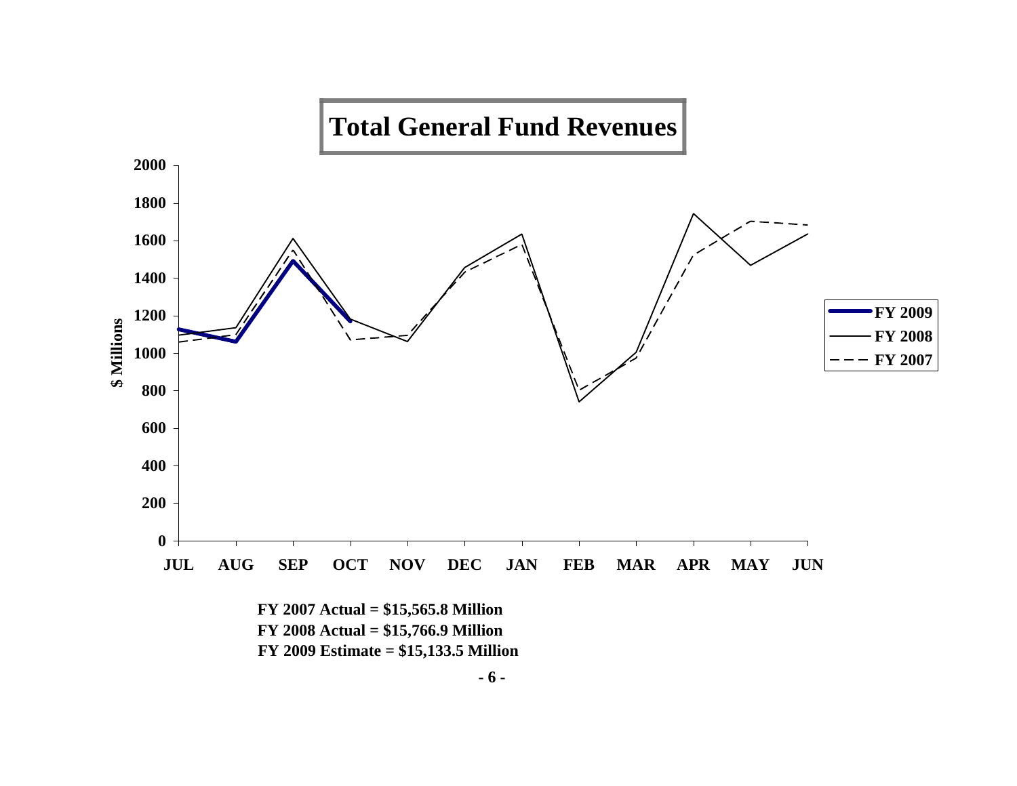

**- 6 -**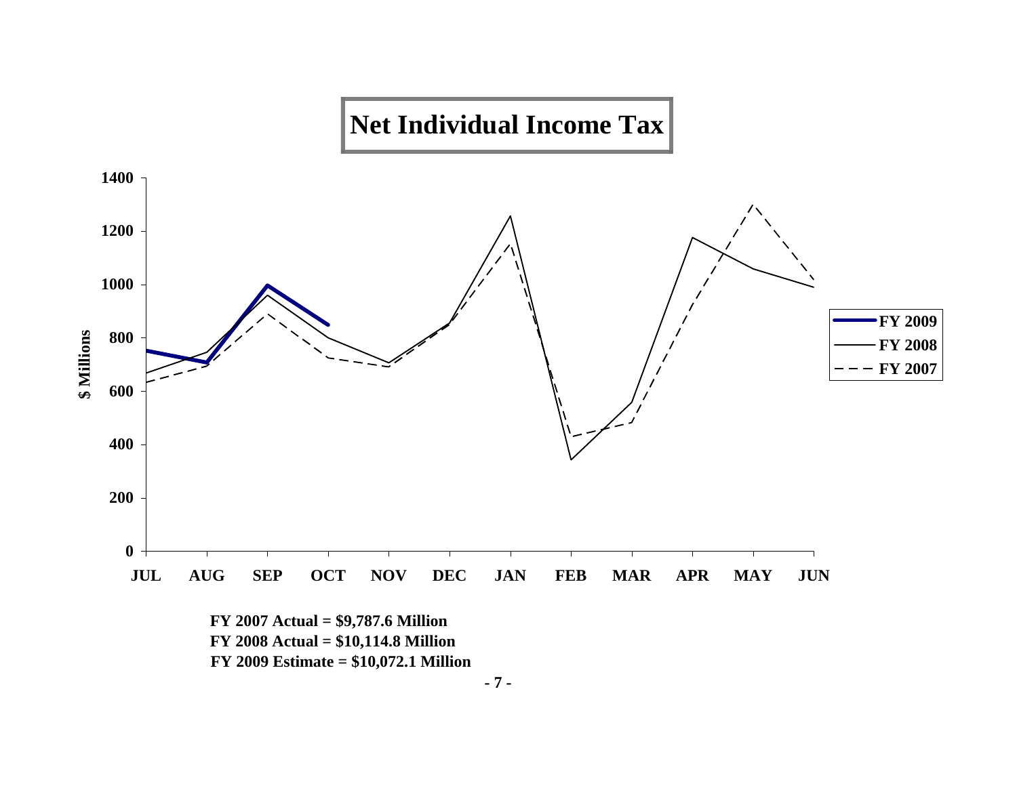

 **FY 2009 Estimate = \$10,072.1 Million**

**- 7 -**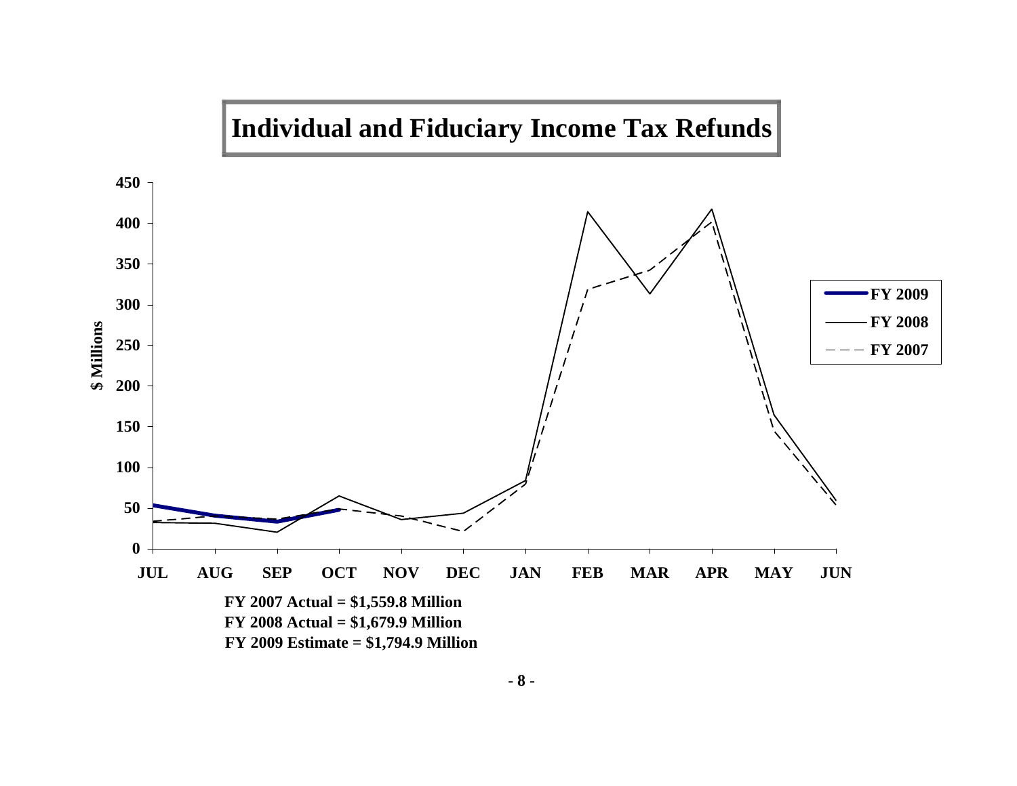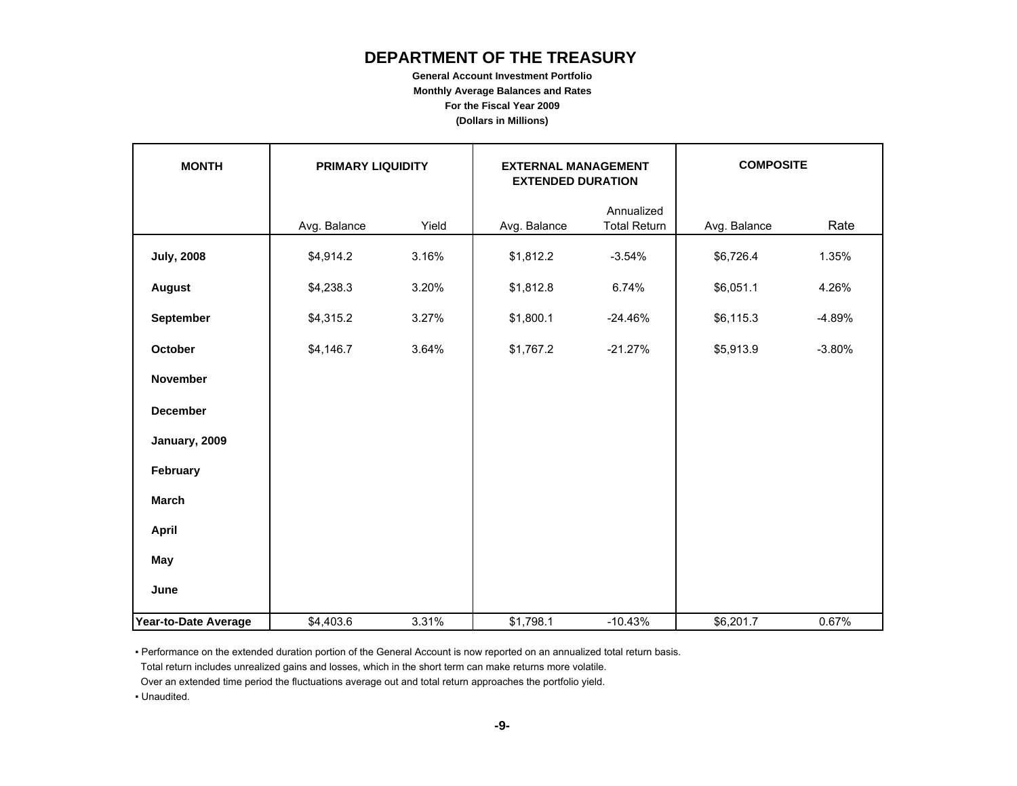# **DEPARTMENT OF THE TREASURY**

**General Account Investment Portfolio Monthly Average Balances and Rates For the Fiscal Year 2009 (Dollars in Millions)**

| <b>MONTH</b>         | <b>PRIMARY LIQUIDITY</b> |       | <b>EXTERNAL MANAGEMENT</b><br><b>EXTENDED DURATION</b> |                                   | <b>COMPOSITE</b> |          |  |
|----------------------|--------------------------|-------|--------------------------------------------------------|-----------------------------------|------------------|----------|--|
|                      | Avg. Balance             | Yield | Avg. Balance                                           | Annualized<br><b>Total Return</b> | Avg. Balance     | Rate     |  |
| <b>July, 2008</b>    | \$4,914.2                | 3.16% | \$1,812.2                                              | $-3.54%$                          | \$6,726.4        | 1.35%    |  |
| <b>August</b>        | \$4,238.3                | 3.20% | \$1,812.8                                              | 6.74%                             | \$6,051.1        | 4.26%    |  |
| September            | \$4,315.2                | 3.27% | \$1,800.1                                              | $-24.46%$                         | \$6,115.3        | $-4.89%$ |  |
| October              | \$4,146.7                | 3.64% | \$1,767.2                                              | $-21.27%$                         | \$5,913.9        | $-3.80%$ |  |
| <b>November</b>      |                          |       |                                                        |                                   |                  |          |  |
| <b>December</b>      |                          |       |                                                        |                                   |                  |          |  |
| January, 2009        |                          |       |                                                        |                                   |                  |          |  |
| February             |                          |       |                                                        |                                   |                  |          |  |
| <b>March</b>         |                          |       |                                                        |                                   |                  |          |  |
| <b>April</b>         |                          |       |                                                        |                                   |                  |          |  |
| May                  |                          |       |                                                        |                                   |                  |          |  |
| June                 |                          |       |                                                        |                                   |                  |          |  |
| Year-to-Date Average | \$4,403.6                | 3.31% | \$1,798.1                                              | $-10.43%$                         | \$6,201.7        | 0.67%    |  |

▪ Performance on the extended duration portion of the General Account is now reported on an annualized total return basis.

Total return includes unrealized gains and losses, which in the short term can make returns more volatile.

Over an extended time period the fluctuations average out and total return approaches the portfolio yield.

▪ Unaudited.